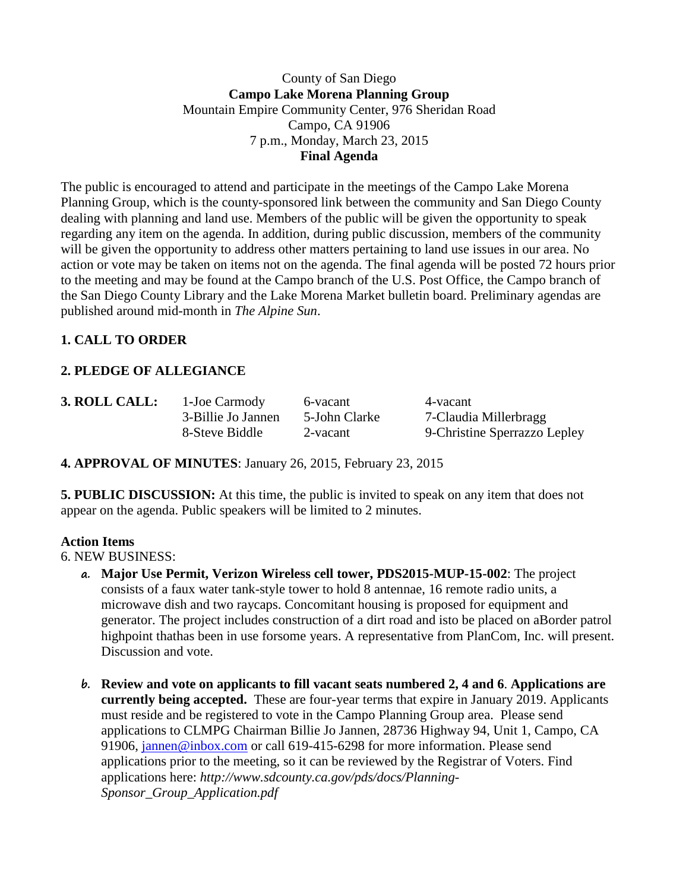## County of San Diego **Campo Lake Morena Planning Group** Mountain Empire Community Center, 976 Sheridan Road Campo, CA 91906 7 p.m., Monday, March 23, 2015 **Final Agenda**

The public is encouraged to attend and participate in the meetings of the Campo Lake Morena Planning Group, which is the county-sponsored link between the community and San Diego County dealing with planning and land use. Members of the public will be given the opportunity to speak regarding any item on the agenda. In addition, during public discussion, members of the community will be given the opportunity to address other matters pertaining to land use issues in our area. No action or vote may be taken on items not on the agenda. The final agenda will be posted 72 hours prior to the meeting and may be found at the Campo branch of the U.S. Post Office, the Campo branch of the San Diego County Library and the Lake Morena Market bulletin board. Preliminary agendas are published around mid-month in *The Alpine Sun*.

# **1. CALL TO ORDER**

# **2. PLEDGE OF ALLEGIANCE**

**3. ROLL CALL:** 1-Joe Carmody 6-vacant 4-vacant 4-vacant 3-Billie Jo Jannen 5-John Clarke 7-Claudia

3-Billie Jo Jannen 5-John Clarke 7-Claudia Millerbragg 8-Steve Biddle 2-vacant 9-Christine Sperrazzo Lepley

**4. APPROVAL OF MINUTES**: January 26, 2015, February 23, 2015

**5. PUBLIC DISCUSSION:** At this time, the public is invited to speak on any item that does not appear on the agenda. Public speakers will be limited to 2 minutes.

## **Action Items**

6. NEW BUSINESS:

- **a. Major Use Permit, Verizon Wireless cell tower, PDS2015-MUP-15-002**: The project consists of a faux water tank-style tower to hold 8 antennae, 16 remote radio units, a microwave dish and two raycaps. Concomitant housing is proposed for equipment and generator. The project includes construction of a dirt road and isto be placed on aBorder patrol highpoint thathas been in use forsome years. A representative from PlanCom, Inc. will present. Discussion and vote.
- **b. Review and vote on applicants to fill vacant seats numbered 2, 4 and 6**. **Applications are currently being accepted.** These are four-year terms that expire in January 2019. Applicants must reside and be registered to vote in the Campo Planning Group area. Please send applications to CLMPG Chairman Billie Jo Jannen, 28736 Highway 94, Unit 1, Campo, CA 91906, [jannen@inbox.com](mailto:campojoe@yahoo.com) or call 619-415-6298 for more information. Please send applications prior to the meeting, so it can be reviewed by the Registrar of Voters. Find applications here: *http://www.sdcounty.ca.gov/pds/docs/Planning-Sponsor\_Group\_Application.pdf*